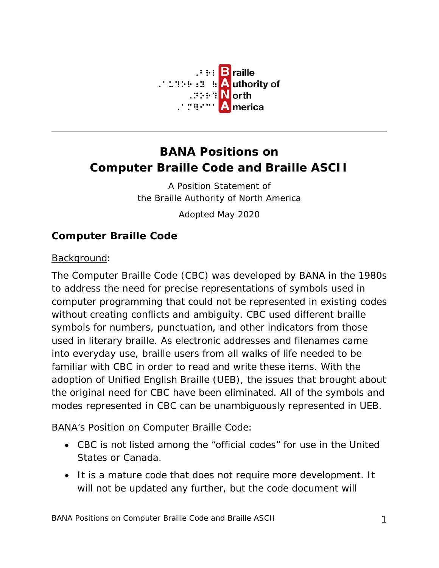

# **BANA Positions on Computer Braille Code and Braille ASCII**

A Position Statement of the Braille Authority of North America

Adopted May 2020

## **Computer Braille Code**

#### Background:

The Computer Braille Code (CBC) was developed by BANA in the 1980s to address the need for precise representations of symbols used in computer programming that could not be represented in existing codes without creating conflicts and ambiguity. CBC used different braille symbols for numbers, punctuation, and other indicators from those used in literary braille. As electronic addresses and filenames came into everyday use, braille users from all walks of life needed to be familiar with CBC in order to read and write these items. With the adoption of Unified English Braille (UEB), the issues that brought about the original need for CBC have been eliminated. All of the symbols and modes represented in CBC can be unambiguously represented in UEB.

#### BANA's Position on Computer Braille Code:

- CBC is not listed among the "official codes" for use in the United States or Canada.
- It is a mature code that does not require more development. It will not be updated any further, but the code document will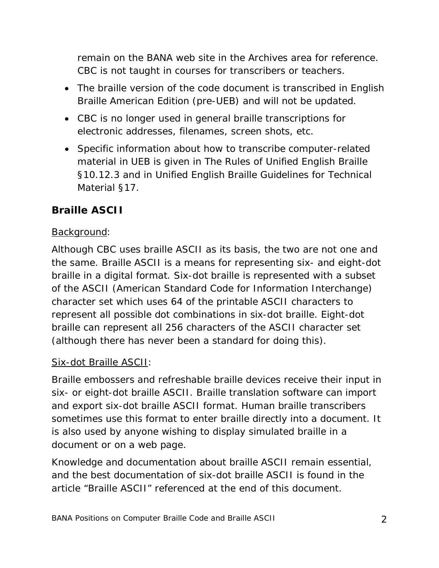remain on the BANA web site in the Archives area for reference. CBC is not taught in courses for transcribers or teachers.

- The braille version of the code document is transcribed in English Braille American Edition (pre-UEB) and will not be updated.
- CBC is no longer used in general braille transcriptions for electronic addresses, filenames, screen shots, etc.
- Specific information about how to transcribe computer-related material in UEB is given in The Rules of Unified English Braille §10.12.3 and in Unified English Braille Guidelines for Technical Material §17.

## **Braille ASCII**

### Background:

Although CBC uses braille ASCII as its basis, the two are not one and the same. Braille ASCII is a means for representing six- and eight-dot braille in a digital format. Six-dot braille is represented with a subset of the ASCII (American Standard Code for Information Interchange) character set which uses 64 of the printable ASCII characters to represent all possible dot combinations in six-dot braille. Eight-dot braille can represent all 256 characters of the ASCII character set (although there has never been a standard for doing this).

#### Six-dot Braille ASCII:

Braille embossers and refreshable braille devices receive their input in six- or eight-dot braille ASCII. Braille translation software can import and export six-dot braille ASCII format. Human braille transcribers sometimes use this format to enter braille directly into a document. It is also used by anyone wishing to display simulated braille in a document or on a web page.

Knowledge and documentation about braille ASCII remain essential, and the best documentation of six-dot braille ASCII is found in the article "Braille ASCII" referenced at the end of this document.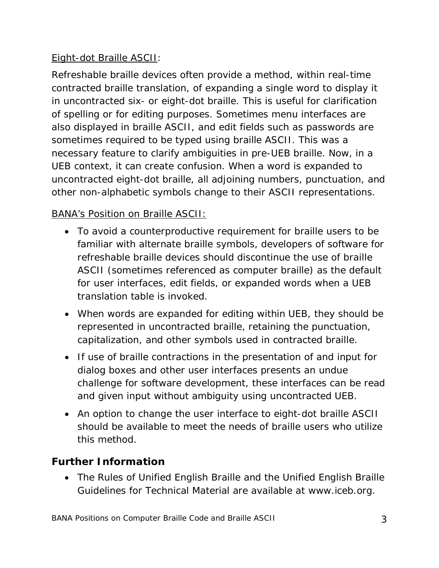### Eight-dot Braille ASCII:

Refreshable braille devices often provide a method, within real-time contracted braille translation, of expanding a single word to display it in uncontracted six- or eight-dot braille. This is useful for clarification of spelling or for editing purposes. Sometimes menu interfaces are also displayed in braille ASCII, and edit fields such as passwords are sometimes required to be typed using braille ASCII. This was a necessary feature to clarify ambiguities in pre-UEB braille. Now, in a UEB context, it can create confusion. When a word is expanded to uncontracted eight-dot braille, all adjoining numbers, punctuation, and other non-alphabetic symbols change to their ASCII representations.

## **BANA's Position on Braille ASCII:**

- To avoid a counterproductive requirement for braille users to be familiar with alternate braille symbols, developers of software for refreshable braille devices should discontinue the use of braille ASCII (sometimes referenced as computer braille) as the default for user interfaces, edit fields, or expanded words *when a UEB translation table is invoked*.
- When words are expanded for editing within UEB, they should be represented in uncontracted braille, retaining the punctuation, capitalization, and other symbols used in contracted braille.
- If use of braille contractions in the presentation of and input for dialog boxes and other user interfaces presents an undue challenge for software development, these interfaces can be read and given input without ambiguity using uncontracted UEB.
- An option to change the user interface to eight-dot braille ASCII should be available to meet the needs of braille users who utilize this method.

## **Further Information**

• The Rules of Unified English Braille and the Unified English Braille Guidelines for Technical Material are available at [www.iceb.org.](http://www.iceb.org/)